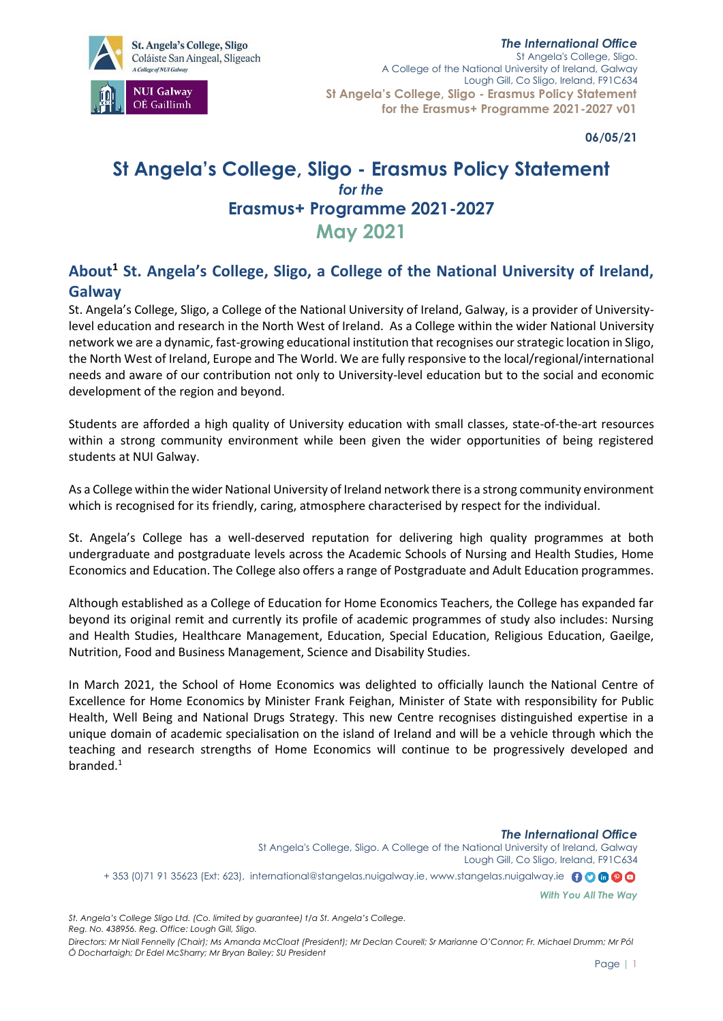

*The International Office*  St Angela's College, Sligo. A College of the National University of Ireland, Galway Lough Gill, Co Sligo, Ireland, F91C634 **St Angela's College, Sligo - Erasmus Policy Statement for the Erasmus+ Programme 2021-2027 v01** 

**06/05/21**

# **St Angela's College, Sligo - Erasmus Policy Statement** *for the* **Erasmus+ Programme 2021-2027 May 2021**

## **About<sup>1</sup> St. Angela's College, Sligo, a College of the National University of Ireland, Galway**

St. Angela's College, Sligo, a College of the National University of Ireland, Galway, is a provider of Universitylevel education and research in the North West of Ireland. As a College within the wider National University network we are a dynamic, fast-growing educational institution that recognises our strategic location in Sligo, the North West of Ireland, Europe and The World. We are fully responsive to the local/regional/international needs and aware of our contribution not only to University-level education but to the social and economic development of the region and beyond.

Students are afforded a high quality of University education with small classes, state-of-the-art resources within a strong community environment while been given the wider opportunities of being registered students at NUI Galway.

As a College within the wider National University of Ireland network there is a strong community environment which is recognised for its friendly, caring, atmosphere characterised by respect for the individual.

St. Angela's College has a well-deserved reputation for delivering high quality programmes at both undergraduate and postgraduate levels across the Academic Schools of Nursing and Health Studies, Home Economics and Education. The College also offers a range of Postgraduate and Adult Education programmes.

Although established as a College of Education for Home Economics Teachers, the College has expanded far beyond its original remit and currently its profile of academic programmes of study also includes: Nursing and Health Studies, Healthcare Management, Education, Special Education, Religious Education, Gaeilge, Nutrition, Food and Business Management, Science and Disability Studies.

In March 2021, the School of Home Economics was delighted to officially launch the National Centre of Excellence for Home Economics by Minister Frank Feighan, Minister of State with responsibility for Public Health, Well Being and National Drugs Strategy. This new Centre recognises distinguished expertise in a unique domain of academic specialisation on the island of Ireland and will be a vehicle through which the teaching and research strengths of Home Economics will continue to be progressively developed and branded.<sup>1</sup>

*The International Office*  St Angela's College, Sligo. A College of the National University of Ireland, Galway Lough Gill, Co Sligo, Ireland, F91C634 + 353 (0)71 91 35623 (Ext: 623), international@stangelas.nuigalway.ie, www.stangelas.nuigalway.ie 00000 *With You All The Way*

*St. Angela's College Sligo Ltd. (Co. limited by guarantee) t/a St. Angela's College. Reg. No. 438956. Reg. Office: Lough Gill, Sligo.*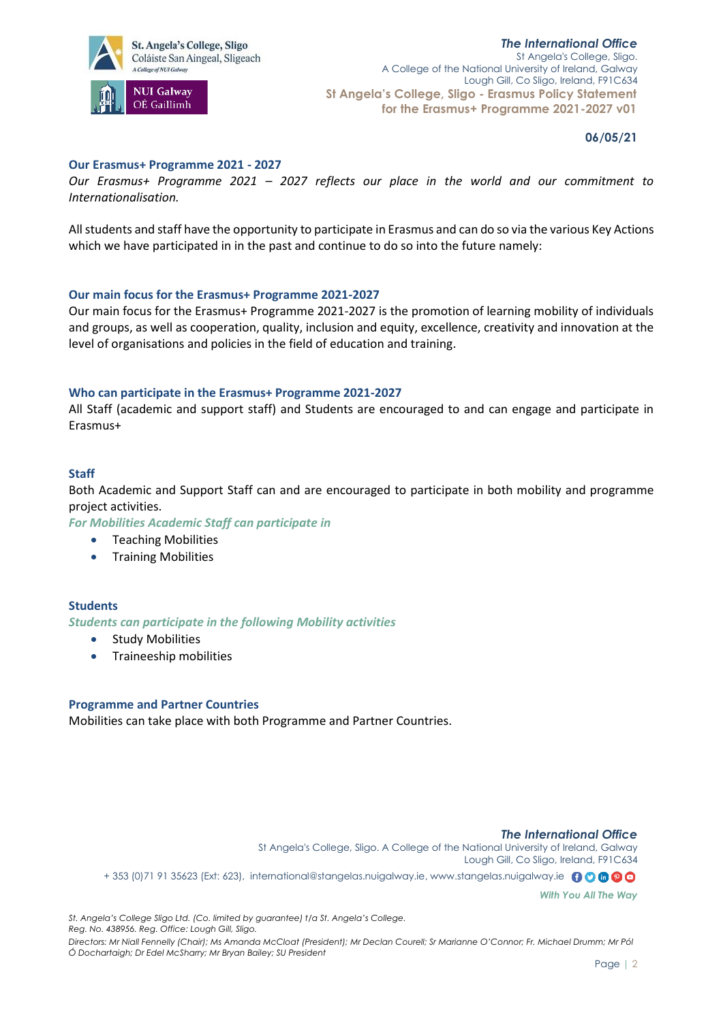

## **06/05/21**

## **Our Erasmus+ Programme 2021 - 2027**

*Our Erasmus+ Programme 2021 – 2027 reflects our place in the world and our commitment to Internationalisation.*

All students and staff have the opportunity to participate in Erasmus and can do so via the various Key Actions which we have participated in in the past and continue to do so into the future namely:

## **Our main focus for the Erasmus+ Programme 2021-2027**

Our main focus for the Erasmus+ Programme 2021-2027 is the promotion of learning mobility of individuals and groups, as well as cooperation, quality, inclusion and equity, excellence, creativity and innovation at the level of organisations and policies in the field of education and training.

## **Who can participate in the Erasmus+ Programme 2021-2027**

All Staff (academic and support staff) and Students are encouraged to and can engage and participate in Erasmus+

## **Staff**

Both Academic and Support Staff can and are encouraged to participate in both mobility and programme project activities.

*For Mobilities Academic Staff can participate in*

- Teaching Mobilities
- Training Mobilities

## **Students**

*Students can participate in the following Mobility activities*

- Study Mobilities
- Traineeship mobilities

## **Programme and Partner Countries**

Mobilities can take place with both Programme and Partner Countries.

## *The International Office*  St Angela's College, Sligo. A College of the National University of Ireland, Galway Lough Gill, Co Sligo, Ireland, F91C634 + 353 (0)71 91 35623 (Ext: 623), international@stangelas.nuigalway.ie, www.stangelas.nuigalway.ie 00000

*With You All The Way*

*St. Angela's College Sligo Ltd. (Co. limited by guarantee) t/a St. Angela's College. Reg. No. 438956. Reg. Office: Lough Gill, Sligo.*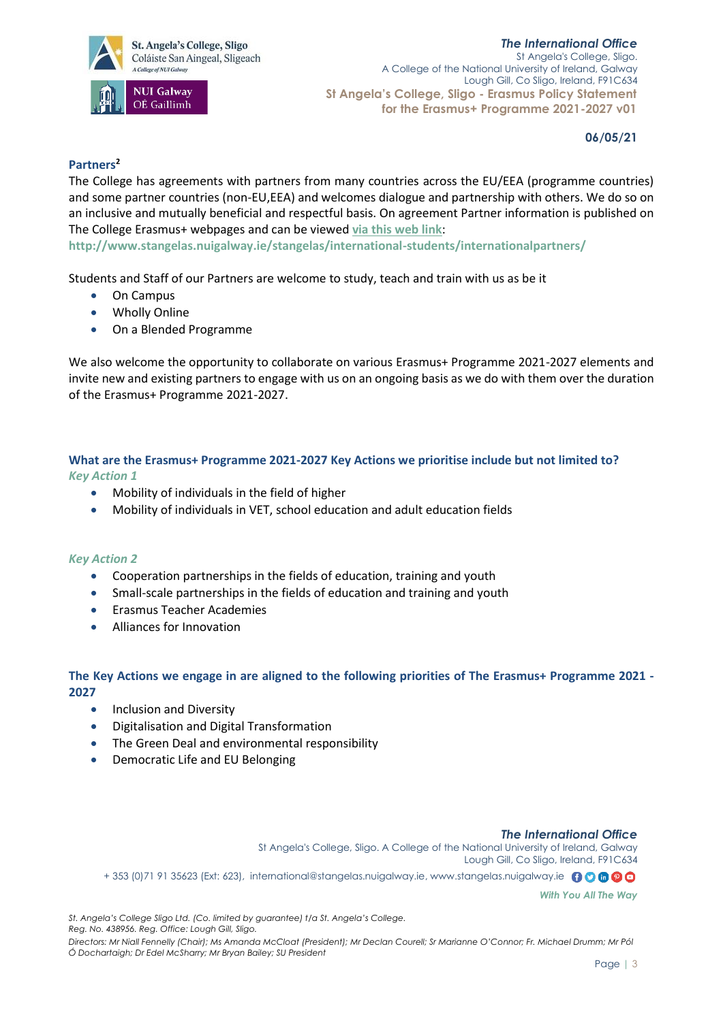## *The International Office*





St Angela's College, Sligo. A College of the National University of Ireland, Galway Lough Gill, Co Sligo, Ireland, F91C634 **St Angela's College, Sligo - Erasmus Policy Statement for the Erasmus+ Programme 2021-2027 v01** 

**06/05/21**

## **Partners<sup>2</sup>**

The College has agreements with partners from many countries across the EU/EEA (programme countries) and some partner countries (non-EU,EEA) and welcomes dialogue and partnership with others. We do so on an inclusive and mutually beneficial and respectful basis. On agreement Partner information is published on The College Erasmus+ webpages and can be viewed **[via this web link](http://www.stangelas.nuigalway.ie/stangelas/international-students/internationalpartners/)**:

**http://www.stangelas.nuigalway.ie/stangelas/international-students/internationalpartners/**

Students and Staff of our Partners are welcome to study, teach and train with us as be it

- On Campus
- Wholly Online
- On a Blended Programme

We also welcome the opportunity to collaborate on various Erasmus+ Programme 2021-2027 elements and invite new and existing partners to engage with us on an ongoing basis as we do with them over the duration of the Erasmus+ Programme 2021-2027.

## **What are the Erasmus+ Programme 2021-2027 Key Actions we prioritise include but not limited to?** *Key Action 1*

- Mobility of individuals in the field of higher
- Mobility of individuals in VET, school education and adult education fields

## *Key Action 2*

- Cooperation partnerships in the fields of education, training and youth
- Small-scale partnerships in the fields of education and training and youth
- Erasmus Teacher Academies
- Alliances for Innovation

## **The Key Actions we engage in are aligned to the following priorities of The Erasmus+ Programme 2021 - 2027**

- Inclusion and Diversity
- Digitalisation and Digital Transformation
- The Green Deal and environmental responsibility
- Democratic Life and EU Belonging

## *The International Office*

St Angela's College, Sligo. A College of the National University of Ireland, Galway Lough Gill, Co Sligo, Ireland, F91C634 + 353 (0)71 91 35623 (Ext: 623), international@stangelas.nuigalway.ie, www.stangelas.nuigalway.ie 00000

*With You All The Way*

*St. Angela's College Sligo Ltd. (Co. limited by guarantee) t/a St. Angela's College. Reg. No. 438956. Reg. Office: Lough Gill, Sligo.*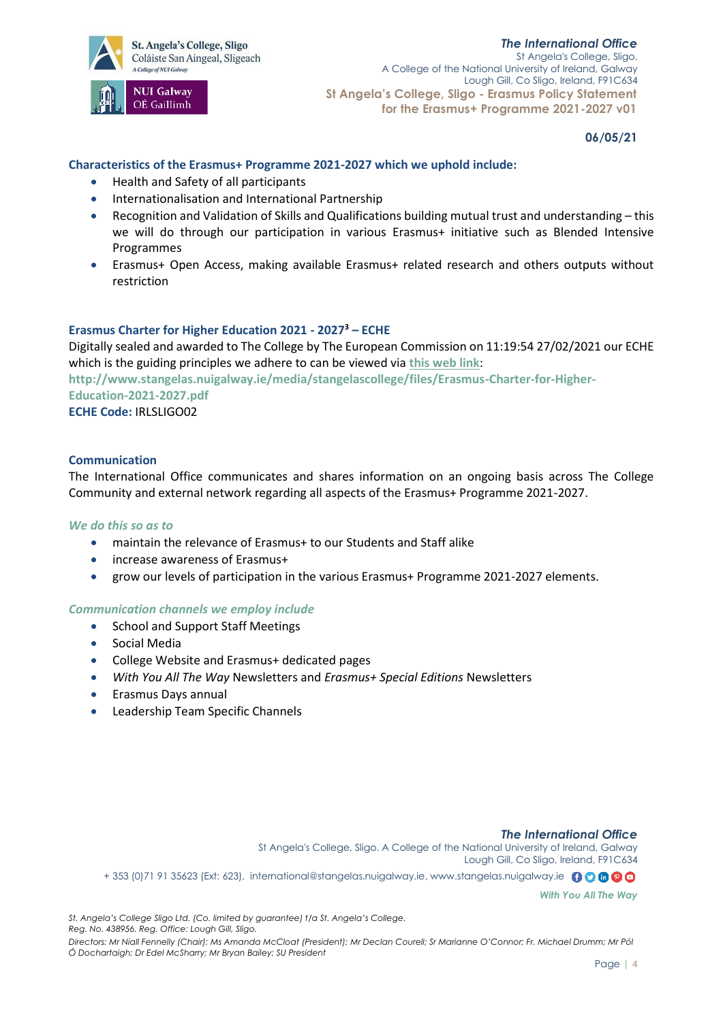St. Angela's College, Sligo Coláiste San Aingeal, Sligeach A College of NUI Gabray



*The International Office*  St Angela's College, Sligo. A College of the National University of Ireland, Galway Lough Gill, Co Sligo, Ireland, F91C634 **St Angela's College, Sligo - Erasmus Policy Statement for the Erasmus+ Programme 2021-2027 v01** 

**06/05/21**

## **Characteristics of the Erasmus+ Programme 2021-2027 which we uphold include:**

- Health and Safety of all participants
- Internationalisation and International Partnership
- Recognition and Validation of Skills and Qualifications building mutual trust and understanding this we will do through our participation in various Erasmus+ initiative such as Blended Intensive Programmes
- Erasmus+ Open Access, making available Erasmus+ related research and others outputs without restriction

## **Erasmus Charter for Higher Education 2021 - 2027<sup>3</sup> – ECHE**

Digitally sealed and awarded to The College by The European Commission on 11:19:54 27/02/2021 our ECHE which is the guiding principles we adhere to can be viewed via **[this web link](http://www.stangelas.nuigalway.ie/media/stangelascollege/files/Erasmus-Charter-for-Higher-Education-2021-2027.pdf)**:

**http://www.stangelas.nuigalway.ie/media/stangelascollege/files/Erasmus-Charter-for-Higher-Education-2021-2027.pdf**

**ECHE Code:** IRLSLIGO02

## **Communication**

The International Office communicates and shares information on an ongoing basis across The College Community and external network regarding all aspects of the Erasmus+ Programme 2021-2027.

## *We do this so as to*

- maintain the relevance of Erasmus+ to our Students and Staff alike
- increase awareness of Erasmus+
- grow our levels of participation in the various Erasmus+ Programme 2021-2027 elements.

## *Communication channels we employ include*

- School and Support Staff Meetings
- Social Media
- College Website and Erasmus+ dedicated pages
- *With You All The Way* Newsletters and *Erasmus+ Special Editions* Newsletters
- Erasmus Days annual
- Leadership Team Specific Channels

#### *The International Office*

St Angela's College, Sligo. A College of the National University of Ireland, Galway Lough Gill, Co Sligo, Ireland, F91C634 + 353 (0)71 91 35623 (Ext: 623), international@stangelas.nuigalway.ie, www.stangelas.nuigalway.ie @ 0 0 0 0

*With You All The Way*

*St. Angela's College Sligo Ltd. (Co. limited by guarantee) t/a St. Angela's College. Reg. No. 438956. Reg. Office: Lough Gill, Sligo.*